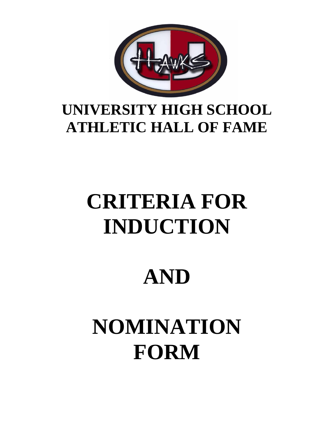

### **UNIVERSITY HIGH SCHOOL ATHLETIC HALL OF FAME**

## **CRITERIA FOR INDUCTION**

### **AND**

# **NOMINATION FORM**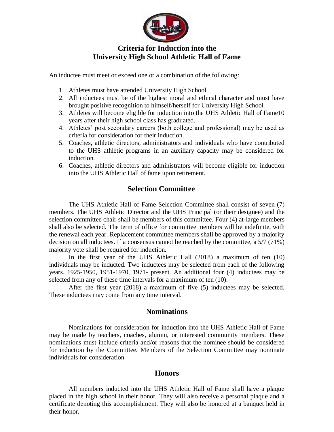

#### **Criteria for Induction into the University High School Athletic Hall of Fame**

An inductee must meet or exceed one or a combination of the following:

- 1. Athletes must have attended University High School.
- 2. All inductees must be of the highest moral and ethical character and must have brought positive recognition to himself/herself for University High School.
- 3. Athletes will become eligible for induction into the UHS Athletic Hall of Fame10 years after their high school class has graduated.
- 4. Athletes' post secondary careers (both college and professional) may be used as criteria for consideration for their induction.
- 5. Coaches, athletic directors, administrators and individuals who have contributed to the UHS athletic programs in an auxiliary capacity may be considered for induction.
- 6. Coaches, athletic directors and administrators will become eligible for induction into the UHS Athletic Hall of fame upon retirement.

#### **Selection Committee**

The UHS Athletic Hall of Fame Selection Committee shall consist of seven (7) members. The UHS Athletic Director and the UHS Principal (or their designee) and the selection committee chair shall be members of this committee. Four (4) at-large members shall also be selected. The term of office for committee members will be indefinite, with the renewal each year. Replacement committee members shall be approved by a majority decision on all inductees. If a consensus cannot be reached by the committee, a 5/7 (71%) majority vote shall be required for induction.

In the first year of the UHS Athletic Hall (2018) a maximum of ten (10) individuals may be inducted. Two inductees may be selected from each of the following years. 1925-1950, 1951-1970, 1971- present. An additional four (4) inductees may be selected from any of these time intervals for a maximum of ten (10).

After the first year (2018) a maximum of five (5) inductees may be selected. These inductees may come from any time interval.

#### **Nominations**

Nominations for consideration for induction into the UHS Athletic Hall of Fame may be made by teachers, coaches, alumni, or interested community members. These nominations must include criteria and/or reasons that the nominee should be considered for induction by the Committee. Members of the Selection Committee may nominate individuals for consideration.

#### **Honors**

All members inducted into the UHS Athletic Hall of Fame shall have a plaque placed in the high school in their honor. They will also receive a personal plaque and a certificate denoting this accomplishment. They will also be honored at a banquet held in their honor.